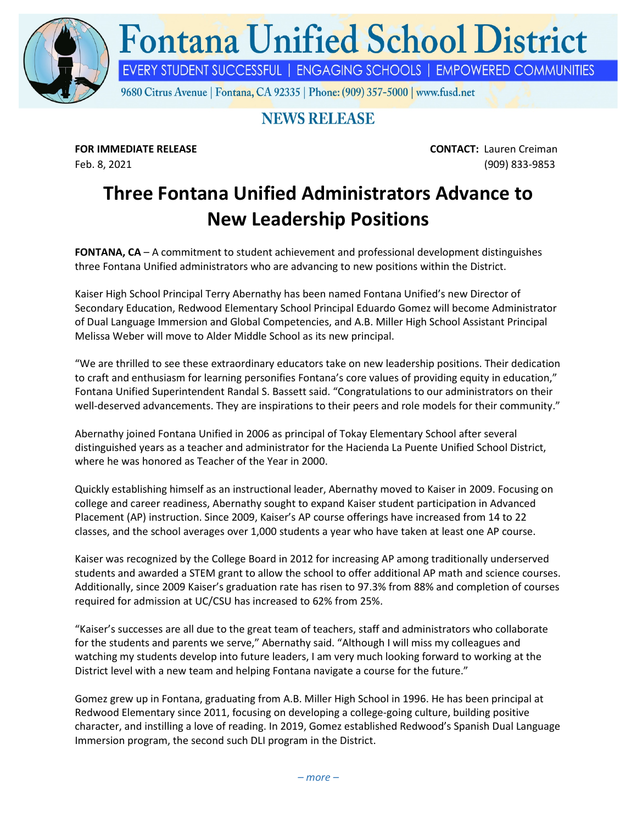

## **NEWS RELEASE**

**FOR IMMEDIATE RELEASE CONTACT:** Lauren Creiman Feb. 8, 2021 (909) 833-9853

## **Three Fontana Unified Administrators Advance to New Leadership Positions**

**FONTANA, CA** – A commitment to student achievement and professional development distinguishes three Fontana Unified administrators who are advancing to new positions within the District.

Kaiser High School Principal Terry Abernathy has been named Fontana Unified's new Director of Secondary Education, Redwood Elementary School Principal Eduardo Gomez will become Administrator of Dual Language Immersion and Global Competencies, and A.B. Miller High School Assistant Principal Melissa Weber will move to Alder Middle School as its new principal.

"We are thrilled to see these extraordinary educators take on new leadership positions. Their dedication to craft and enthusiasm for learning personifies Fontana's core values of providing equity in education," Fontana Unified Superintendent Randal S. Bassett said. "Congratulations to our administrators on their well-deserved advancements. They are inspirations to their peers and role models for their community."

Abernathy joined Fontana Unified in 2006 as principal of Tokay Elementary School after several distinguished years as a teacher and administrator for the Hacienda La Puente Unified School District, where he was honored as Teacher of the Year in 2000.

Quickly establishing himself as an instructional leader, Abernathy moved to Kaiser in 2009. Focusing on college and career readiness, Abernathy sought to expand Kaiser student participation in Advanced Placement (AP) instruction. Since 2009, Kaiser's AP course offerings have increased from 14 to 22 classes, and the school averages over 1,000 students a year who have taken at least one AP course.

Kaiser was recognized by the College Board in 2012 for increasing AP among traditionally underserved students and awarded a STEM grant to allow the school to offer additional AP math and science courses. Additionally, since 2009 Kaiser's graduation rate has risen to 97.3% from 88% and completion of courses required for admission at UC/CSU has increased to 62% from 25%.

"Kaiser's successes are all due to the great team of teachers, staff and administrators who collaborate for the students and parents we serve," Abernathy said. "Although I will miss my colleagues and watching my students develop into future leaders, I am very much looking forward to working at the District level with a new team and helping Fontana navigate a course for the future."

Gomez grew up in Fontana, graduating from A.B. Miller High School in 1996. He has been principal at Redwood Elementary since 2011, focusing on developing a college-going culture, building positive character, and instilling a love of reading. In 2019, Gomez established Redwood's Spanish Dual Language Immersion program, the second such DLI program in the District.